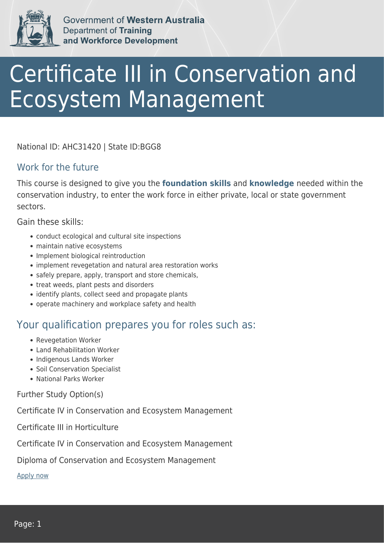

Government of Western Australia **Department of Training** and Workforce Development

## Certificate III in Conservation and Ecosystem Management

National ID: AHC31420 | State ID:BGG8

## Work for the future

This course is designed to give you the **foundation skills** and **knowledge** needed within the conservation industry, to enter the work force in either private, local or state government sectors.

Gain these skills:

- conduct ecological and cultural site inspections
- maintain native ecosystems
- Implement biological reintroduction
- implement revegetation and natural area restoration works
- safely prepare, apply, transport and store chemicals,
- treat weeds, plant pests and disorders
- identify plants, collect seed and propagate plants
- operate machinery and workplace safety and health

## Your qualification prepares you for roles such as:

- Revegetation Worker
- Land Rehabilitation Worker
- Indigenous Lands Worker
- Soil Conservation Specialist
- National Parks Worker

Further Study Option(s)

Certificate IV in Conservation and Ecosystem Management

Certificate III in Horticulture

Certificate IV in Conservation and Ecosystem Management

Diploma of Conservation and Ecosystem Management

[Apply now](https://tasonline.tafe.wa.edu.au/Default.aspx)